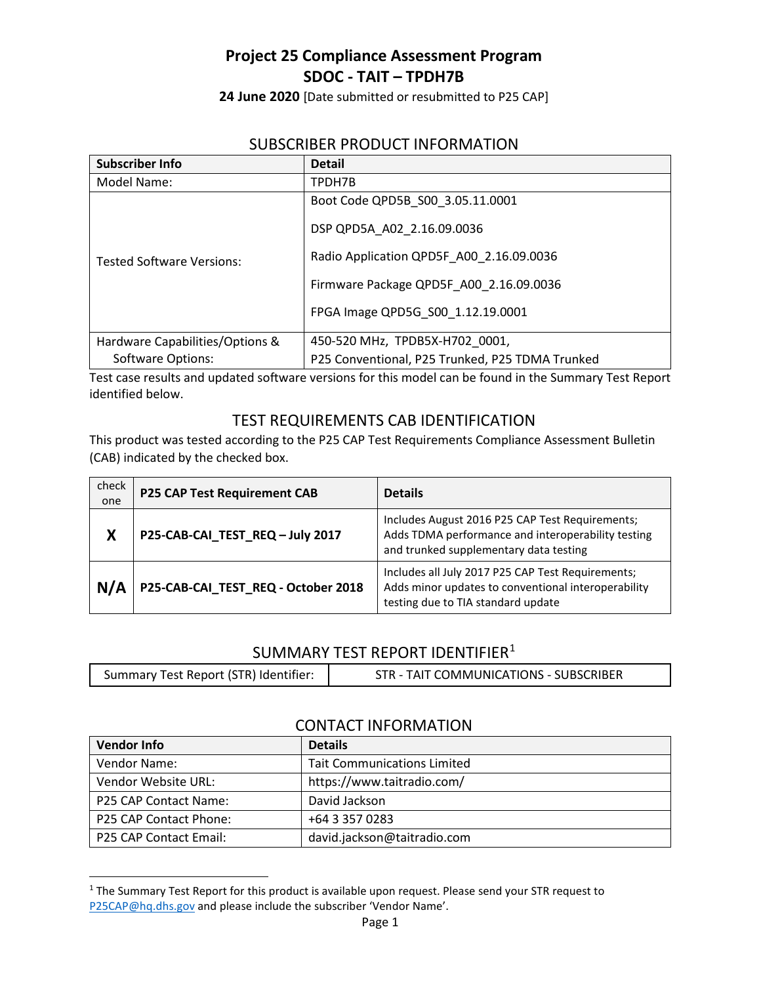**24 June 2020** [Date submitted or resubmitted to P25 CAP]

#### SUBSCRIBER PRODUCT INFORMATION

| <b>Subscriber Info</b>           | <b>Detail</b>                                   |
|----------------------------------|-------------------------------------------------|
| Model Name:                      | TPDH7B                                          |
|                                  | Boot Code QPD5B S00 3.05.11.0001                |
|                                  | DSP QPD5A A02 2.16.09.0036                      |
| <b>Tested Software Versions:</b> | Radio Application QPD5F A00 2.16.09.0036        |
|                                  | Firmware Package QPD5F A00 2.16.09.0036         |
|                                  | FPGA Image QPD5G S00 1.12.19.0001               |
| Hardware Capabilities/Options &  | 450-520 MHz, TPDB5X-H702 0001,                  |
| Software Options:                | P25 Conventional, P25 Trunked, P25 TDMA Trunked |

Test case results and updated software versions for this model can be found in the Summary Test Report identified below.

#### TEST REQUIREMENTS CAB IDENTIFICATION

This product was tested according to the P25 CAP Test Requirements Compliance Assessment Bulletin (CAB) indicated by the checked box.

| check<br>one | <b>P25 CAP Test Requirement CAB</b> | <b>Details</b>                                                                                                                                  |
|--------------|-------------------------------------|-------------------------------------------------------------------------------------------------------------------------------------------------|
| Χ            | P25-CAB-CAI_TEST_REQ-July 2017      | Includes August 2016 P25 CAP Test Requirements;<br>Adds TDMA performance and interoperability testing<br>and trunked supplementary data testing |
| N/A          | P25-CAB-CAI_TEST_REQ - October 2018 | Includes all July 2017 P25 CAP Test Requirements;<br>Adds minor updates to conventional interoperability<br>testing due to TIA standard update  |

#### SUMMARY TEST REPORT IDENTIFIER<sup>[1](#page-0-0)</sup>

| Summary Test Report (STR) Identifier:<br>STR - TAIT COMMUNICATIONS - SUBSCRIBER |
|---------------------------------------------------------------------------------|
|---------------------------------------------------------------------------------|

#### CONTACT INFORMATION

| <b>Vendor Info</b>            | <b>Details</b>                     |  |
|-------------------------------|------------------------------------|--|
| Vendor Name:                  | <b>Tait Communications Limited</b> |  |
| Vendor Website URL:           | https://www.taitradio.com/         |  |
| P25 CAP Contact Name:         | David Jackson                      |  |
| P25 CAP Contact Phone:        | +64 3 357 0283                     |  |
| <b>P25 CAP Contact Email:</b> | david.jackson@taitradio.com        |  |

<span id="page-0-0"></span><sup>&</sup>lt;sup>1</sup> The Summary Test Report for this product is available upon request. Please send your STR request to [P25CAP@hq.dhs.gov](mailto:P25CAP@hq.dhs.gov) and please include the subscriber 'Vendor Name'.

 $\overline{a}$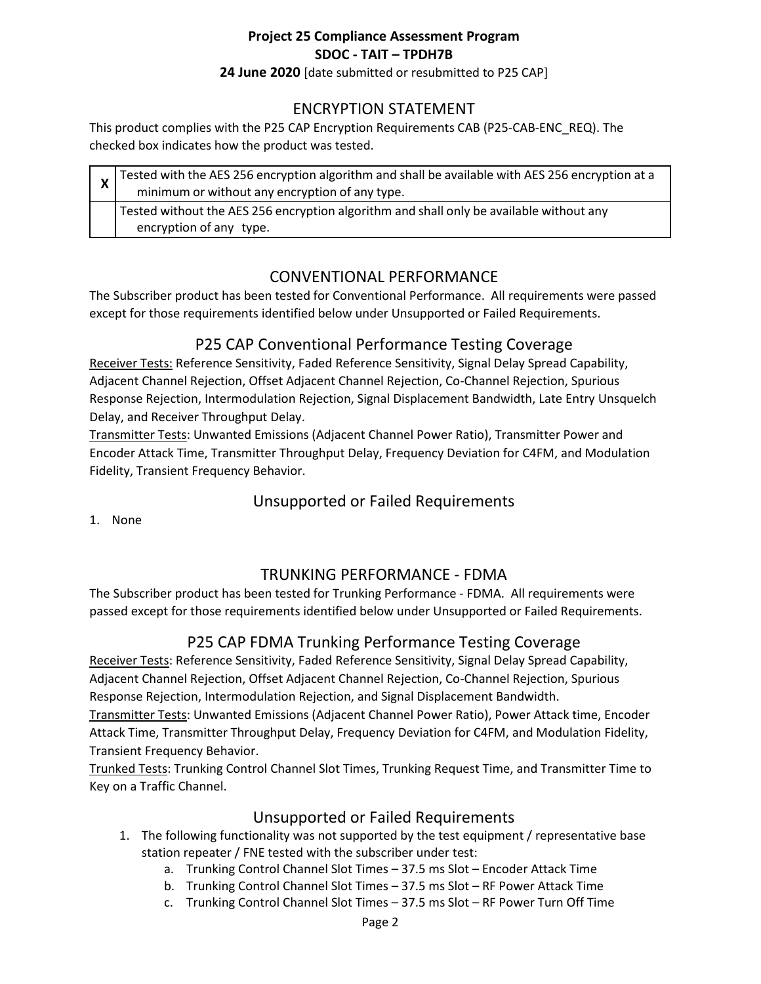**24 June 2020** [date submitted or resubmitted to P25 CAP]

#### ENCRYPTION STATEMENT

This product complies with the P25 CAP Encryption Requirements CAB (P25-CAB-ENC\_REQ). The checked box indicates how the product was tested.

| $\frac{1}{x}$ Tested with the AES 256 encryption algorithm and shall be available with AES 256 encryption at a<br>minimum or without any encryption of any type. |
|------------------------------------------------------------------------------------------------------------------------------------------------------------------|
| Tested without the AES 256 encryption algorithm and shall only be available without any<br>encryption of any type.                                               |

## CONVENTIONAL PERFORMANCE

The Subscriber product has been tested for Conventional Performance. All requirements were passed except for those requirements identified below under Unsupported or Failed Requirements.

#### P25 CAP Conventional Performance Testing Coverage

Receiver Tests: Reference Sensitivity, Faded Reference Sensitivity, Signal Delay Spread Capability, Adjacent Channel Rejection, Offset Adjacent Channel Rejection, Co-Channel Rejection, Spurious Response Rejection, Intermodulation Rejection, Signal Displacement Bandwidth, Late Entry Unsquelch Delay, and Receiver Throughput Delay.

Transmitter Tests: Unwanted Emissions (Adjacent Channel Power Ratio), Transmitter Power and Encoder Attack Time, Transmitter Throughput Delay, Frequency Deviation for C4FM, and Modulation Fidelity, Transient Frequency Behavior.

# Unsupported or Failed Requirements

1. None

#### TRUNKING PERFORMANCE - FDMA

The Subscriber product has been tested for Trunking Performance - FDMA. All requirements were passed except for those requirements identified below under Unsupported or Failed Requirements.

# P25 CAP FDMA Trunking Performance Testing Coverage

Receiver Tests: Reference Sensitivity, Faded Reference Sensitivity, Signal Delay Spread Capability, Adjacent Channel Rejection, Offset Adjacent Channel Rejection, Co-Channel Rejection, Spurious Response Rejection, Intermodulation Rejection, and Signal Displacement Bandwidth.

Transmitter Tests: Unwanted Emissions (Adjacent Channel Power Ratio), Power Attack time, Encoder Attack Time, Transmitter Throughput Delay, Frequency Deviation for C4FM, and Modulation Fidelity, Transient Frequency Behavior.

Trunked Tests: Trunking Control Channel Slot Times, Trunking Request Time, and Transmitter Time to Key on a Traffic Channel.

#### Unsupported or Failed Requirements

- 1. The following functionality was not supported by the test equipment / representative base station repeater / FNE tested with the subscriber under test:
	- a. Trunking Control Channel Slot Times 37.5 ms Slot Encoder Attack Time
	- b. Trunking Control Channel Slot Times 37.5 ms Slot RF Power Attack Time
	- c. Trunking Control Channel Slot Times 37.5 ms Slot RF Power Turn Off Time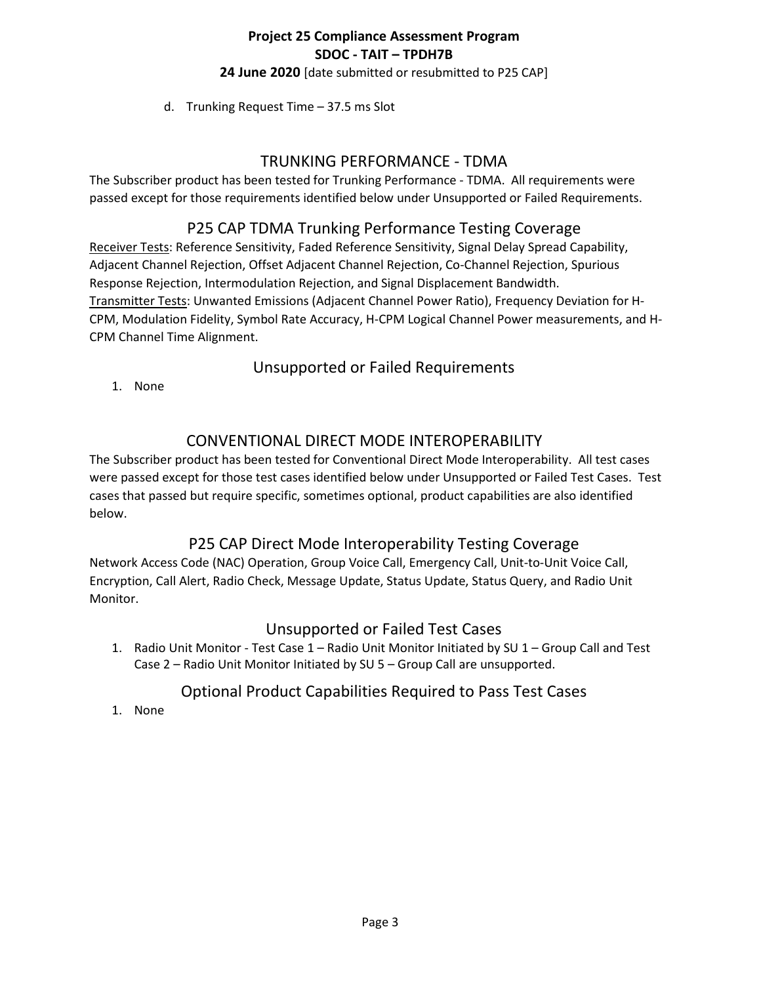**24 June 2020** [date submitted or resubmitted to P25 CAP]

d. Trunking Request Time – 37.5 ms Slot

#### TRUNKING PERFORMANCE - TDMA

The Subscriber product has been tested for Trunking Performance - TDMA. All requirements were passed except for those requirements identified below under Unsupported or Failed Requirements.

# P25 CAP TDMA Trunking Performance Testing Coverage

Receiver Tests: Reference Sensitivity, Faded Reference Sensitivity, Signal Delay Spread Capability, Adjacent Channel Rejection, Offset Adjacent Channel Rejection, Co-Channel Rejection, Spurious Response Rejection, Intermodulation Rejection, and Signal Displacement Bandwidth. Transmitter Tests: Unwanted Emissions (Adjacent Channel Power Ratio), Frequency Deviation for H-CPM, Modulation Fidelity, Symbol Rate Accuracy, H-CPM Logical Channel Power measurements, and H-CPM Channel Time Alignment.

# Unsupported or Failed Requirements

1. None

# CONVENTIONAL DIRECT MODE INTEROPERABILITY

The Subscriber product has been tested for Conventional Direct Mode Interoperability. All test cases were passed except for those test cases identified below under Unsupported or Failed Test Cases. Test cases that passed but require specific, sometimes optional, product capabilities are also identified below.

# P25 CAP Direct Mode Interoperability Testing Coverage

Network Access Code (NAC) Operation, Group Voice Call, Emergency Call, Unit-to-Unit Voice Call, Encryption, Call Alert, Radio Check, Message Update, Status Update, Status Query, and Radio Unit Monitor.

#### Unsupported or Failed Test Cases

1. Radio Unit Monitor - Test Case 1 – Radio Unit Monitor Initiated by SU 1 – Group Call and Test Case 2 – Radio Unit Monitor Initiated by SU 5 – Group Call are unsupported.

# Optional Product Capabilities Required to Pass Test Cases

1. None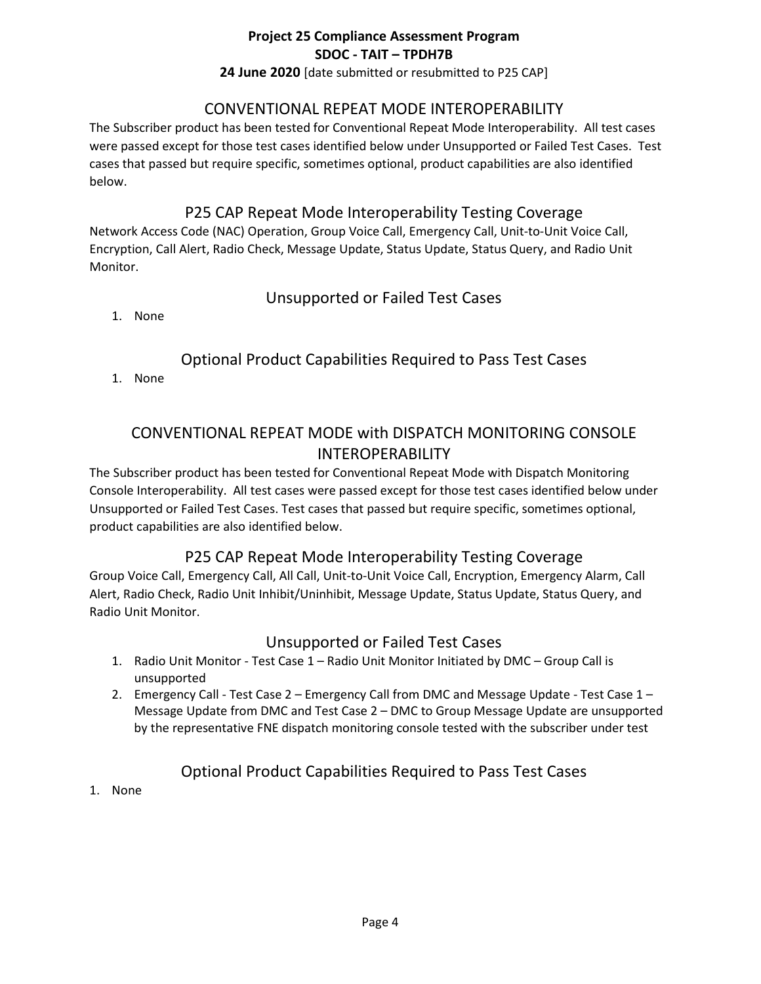**24 June 2020** [date submitted or resubmitted to P25 CAP]

### CONVENTIONAL REPEAT MODE INTEROPERABILITY

The Subscriber product has been tested for Conventional Repeat Mode Interoperability. All test cases were passed except for those test cases identified below under Unsupported or Failed Test Cases. Test cases that passed but require specific, sometimes optional, product capabilities are also identified below.

### P25 CAP Repeat Mode Interoperability Testing Coverage

Network Access Code (NAC) Operation, Group Voice Call, Emergency Call, Unit-to-Unit Voice Call, Encryption, Call Alert, Radio Check, Message Update, Status Update, Status Query, and Radio Unit Monitor.

## Unsupported or Failed Test Cases

1. None

# Optional Product Capabilities Required to Pass Test Cases

1. None

# CONVENTIONAL REPEAT MODE with DISPATCH MONITORING CONSOLE INTEROPERABILITY

The Subscriber product has been tested for Conventional Repeat Mode with Dispatch Monitoring Console Interoperability. All test cases were passed except for those test cases identified below under Unsupported or Failed Test Cases. Test cases that passed but require specific, sometimes optional, product capabilities are also identified below.

# P25 CAP Repeat Mode Interoperability Testing Coverage

Group Voice Call, Emergency Call, All Call, Unit-to-Unit Voice Call, Encryption, Emergency Alarm, Call Alert, Radio Check, Radio Unit Inhibit/Uninhibit, Message Update, Status Update, Status Query, and Radio Unit Monitor.

# Unsupported or Failed Test Cases

- 1. Radio Unit Monitor Test Case 1 Radio Unit Monitor Initiated by DMC Group Call is unsupported
- 2. Emergency Call Test Case 2 Emergency Call from DMC and Message Update Test Case 1 Message Update from DMC and Test Case 2 – DMC to Group Message Update are unsupported by the representative FNE dispatch monitoring console tested with the subscriber under test

# Optional Product Capabilities Required to Pass Test Cases

1. None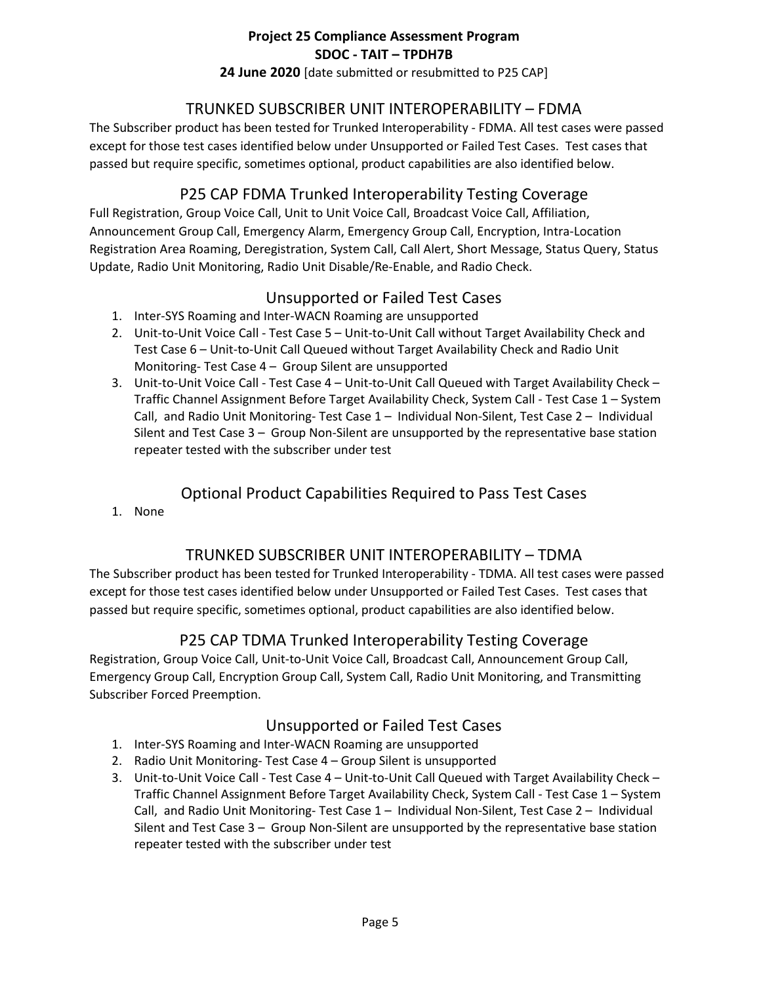**24 June 2020** [date submitted or resubmitted to P25 CAP]

#### TRUNKED SUBSCRIBER UNIT INTEROPERABILITY – FDMA

The Subscriber product has been tested for Trunked Interoperability - FDMA. All test cases were passed except for those test cases identified below under Unsupported or Failed Test Cases. Test cases that passed but require specific, sometimes optional, product capabilities are also identified below.

# P25 CAP FDMA Trunked Interoperability Testing Coverage

Full Registration, Group Voice Call, Unit to Unit Voice Call, Broadcast Voice Call, Affiliation, Announcement Group Call, Emergency Alarm, Emergency Group Call, Encryption, Intra-Location Registration Area Roaming, Deregistration, System Call, Call Alert, Short Message, Status Query, Status Update, Radio Unit Monitoring, Radio Unit Disable/Re-Enable, and Radio Check.

## Unsupported or Failed Test Cases

- 1. Inter-SYS Roaming and Inter-WACN Roaming are unsupported
- 2. Unit-to-Unit Voice Call Test Case 5 Unit-to-Unit Call without Target Availability Check and Test Case 6 – Unit-to-Unit Call Queued without Target Availability Check and Radio Unit Monitoring- Test Case 4 – Group Silent are unsupported
- 3. Unit-to-Unit Voice Call Test Case 4 Unit-to-Unit Call Queued with Target Availability Check Traffic Channel Assignment Before Target Availability Check, System Call - Test Case 1 – System Call, and Radio Unit Monitoring- Test Case 1 – Individual Non-Silent, Test Case 2 – Individual Silent and Test Case 3 – Group Non-Silent are unsupported by the representative base station repeater tested with the subscriber under test

## Optional Product Capabilities Required to Pass Test Cases

1. None

#### TRUNKED SUBSCRIBER UNIT INTEROPERABILITY – TDMA

The Subscriber product has been tested for Trunked Interoperability - TDMA. All test cases were passed except for those test cases identified below under Unsupported or Failed Test Cases. Test cases that passed but require specific, sometimes optional, product capabilities are also identified below.

# P25 CAP TDMA Trunked Interoperability Testing Coverage

Registration, Group Voice Call, Unit-to-Unit Voice Call, Broadcast Call, Announcement Group Call, Emergency Group Call, Encryption Group Call, System Call, Radio Unit Monitoring, and Transmitting Subscriber Forced Preemption.

#### Unsupported or Failed Test Cases

- 1. Inter-SYS Roaming and Inter-WACN Roaming are unsupported
- 2. Radio Unit Monitoring- Test Case 4 Group Silent is unsupported
- 3. Unit-to-Unit Voice Call Test Case 4 Unit-to-Unit Call Queued with Target Availability Check Traffic Channel Assignment Before Target Availability Check, System Call - Test Case 1 – System Call, and Radio Unit Monitoring- Test Case 1 – Individual Non-Silent, Test Case 2 – Individual Silent and Test Case 3 – Group Non-Silent are unsupported by the representative base station repeater tested with the subscriber under test